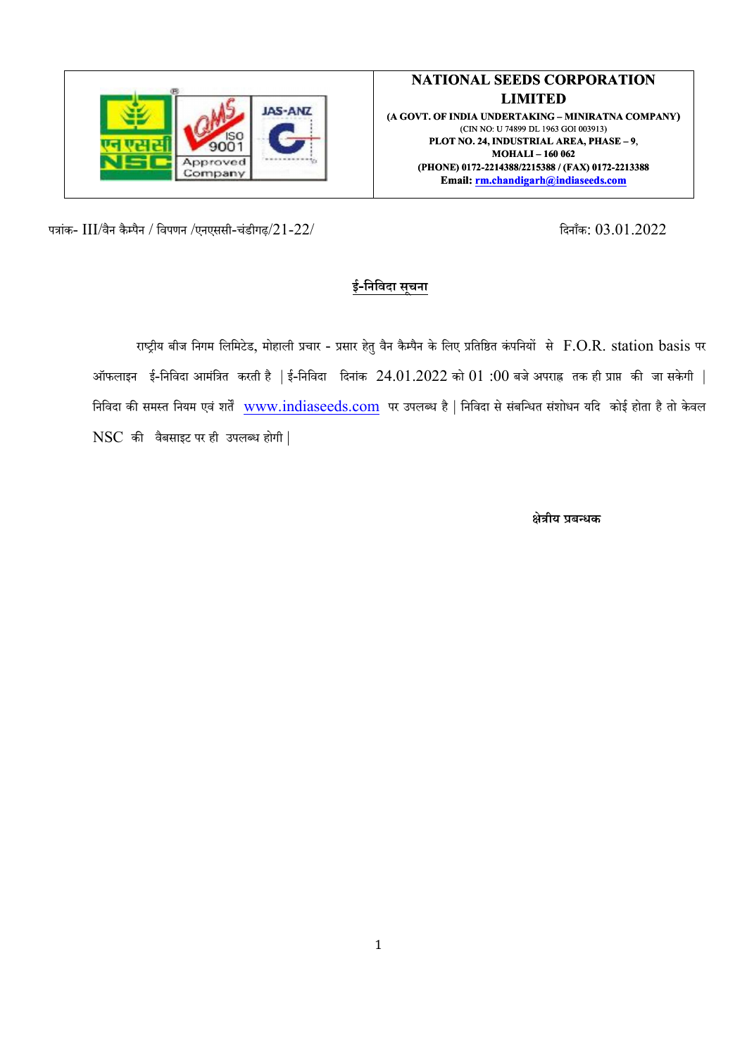

# NATIONAL SEEDS CORPORATION<br>LIMITED<br>AS-ANZ LIMITED

(A GOVT. OF INDIA UNDERTAKING – MINIRATNA COMPANY) (CIN NO: U 74899 DL 1963 GOI 003913) PLOT NO. 24, INDUSTRIAL AREA, PHASE – 9, MOHALI – 160 062 (PHONE) 0172-2214388/2215388 / (FAX) 0172-2213388 Email: rm.chandigarh@indiaseeds.com

पýांक- III/वैन कैÌपैन / िवपणन /एनएससी-चंडीगढ़/21-22/ िदनाँक: 03.01.2022

## ई-निविदा सूचना

राष्ट्रीय बीज निगम लिमिटेड, मोहाली प्रचार - प्रसार हेतु वैन कैम्पैन के लिए प्रतिष्ठित कंपनियों से F.O.R. station basis पर **हिन्दी स्थान है - किया अमंदिर करती है | ई-निविदा संस्था (संस्था अ01 :00 बजे अपराद तक ही प्राप्त के बाद स्थान हैं)<br>
MOT NO. 24, INNESTRIAL AREA, PIASE - 9,<br>
MORE TO A APPROVED MOTEL AREA, PIASE - 9,<br>
20 Approxed Employer** हिन्दा को सम्भान (समुदाय को सम्मोदा को सम्मोदा को सम्मोदा को सम्मेदा को सम्मेदा को सम्मेदा को सम्मेदा को सम्मेदा को सम्मेदा को सम्मेदा को सम्मेदा को सम्मेदा को सम्मेदा को सम्मेदा संशोधन ये संगोष को सम्मेदा को सम्मेदा को NSC की वैबसाइट पर ही उपलब्ध होगी |

<u>द्युत्रेत्रीय प्रबन्धक करने के प्रतिप्रधानिक करने के प्रतिप्रधानिक प्रतिप्रधानिक प्रतिप्रधानिक प्रतिप्रधानिक </u>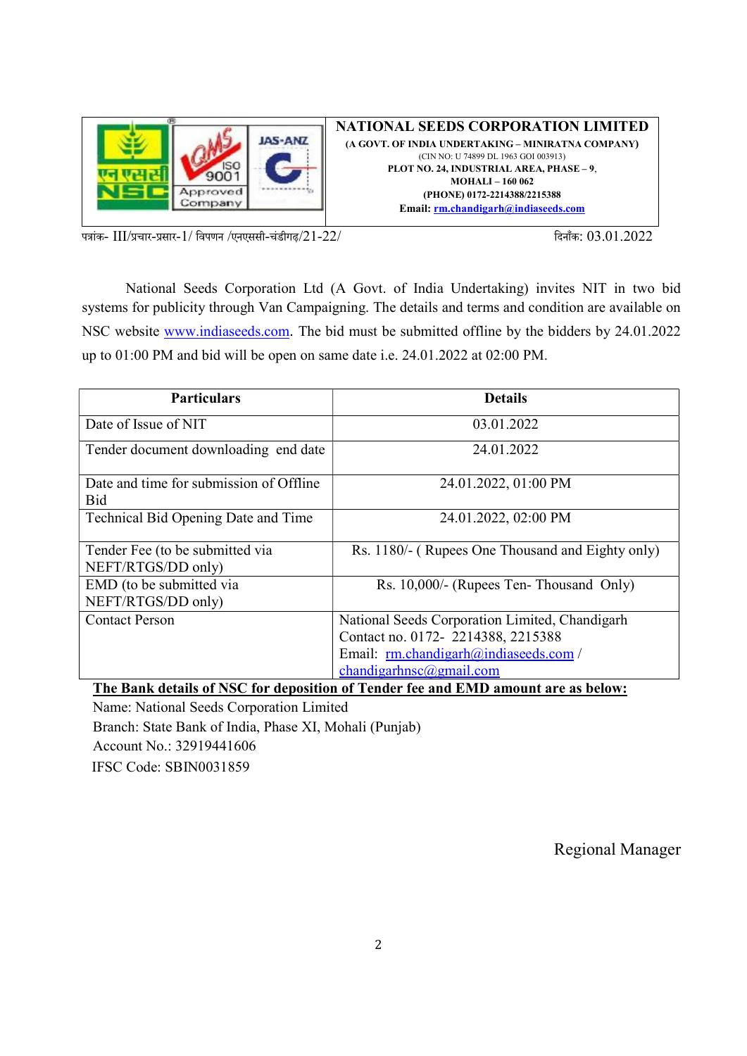

## NATIONAL SEEDS CORPORATION LIMITED

(A GOVT. OF INDIA UNDERTAKING – MINIRATNA COMPANY) (CIN NO: U 74899 DL 1963 GOI 003913) PLOT NO. 24, INDUSTRIAL AREA, PHASE – 9, MOHALI – 160 062 (PHONE) 0172-2214388/2215388 Email: rm.chandigarh@indiaseeds.com

पत्रांक- III/प्रचार-प्रसार-1/ विपणन /एनएससी-चंडीगढ/21-22/ ब्रिजेक: 03.01.2022

National Seeds Corporation Ltd (A Govt. of India Undertaking) invites NIT in two bid systems for publicity through Van Campaigning. The details and terms and condition are available on NSC website www.indiaseeds.com. The bid must be submitted offline by the bidders by 24.01.2022 up to 01:00 PM and bid will be open on same date i.e. 24.01.2022 at 02:00 PM.

| <b>Particulars</b>                                    | <b>Details</b>                                                                                                                                                |
|-------------------------------------------------------|---------------------------------------------------------------------------------------------------------------------------------------------------------------|
| Date of Issue of NIT                                  | 03.01.2022                                                                                                                                                    |
| Tender document downloading end date                  | 24.01.2022                                                                                                                                                    |
| Date and time for submission of Offline<br><b>Bid</b> | 24.01.2022, 01:00 PM                                                                                                                                          |
| Technical Bid Opening Date and Time                   | 24.01.2022, 02:00 PM                                                                                                                                          |
| Tender Fee (to be submitted via<br>NEFT/RTGS/DD only) | Rs. 1180/- (Rupees One Thousand and Eighty only)                                                                                                              |
| EMD (to be submitted via<br>NEFT/RTGS/DD only)        | Rs. 10,000/- (Rupees Ten-Thousand Only)                                                                                                                       |
| <b>Contact Person</b>                                 | National Seeds Corporation Limited, Chandigarh<br>Contact no. 0172-2214388, 2215388<br>Email: rm.chandigarh@indiaseeds.com /<br>chandigarhnsc $(a)$ gmail.com |

The Bank details of NSC for deposition of Tender fee and EMD amount are as below:

Name: National Seeds Corporation Limited

Branch: State Bank of India, Phase XI, Mohali (Punjab)

Account No.: 32919441606

IFSC Code: SBIN0031859

Regional Manager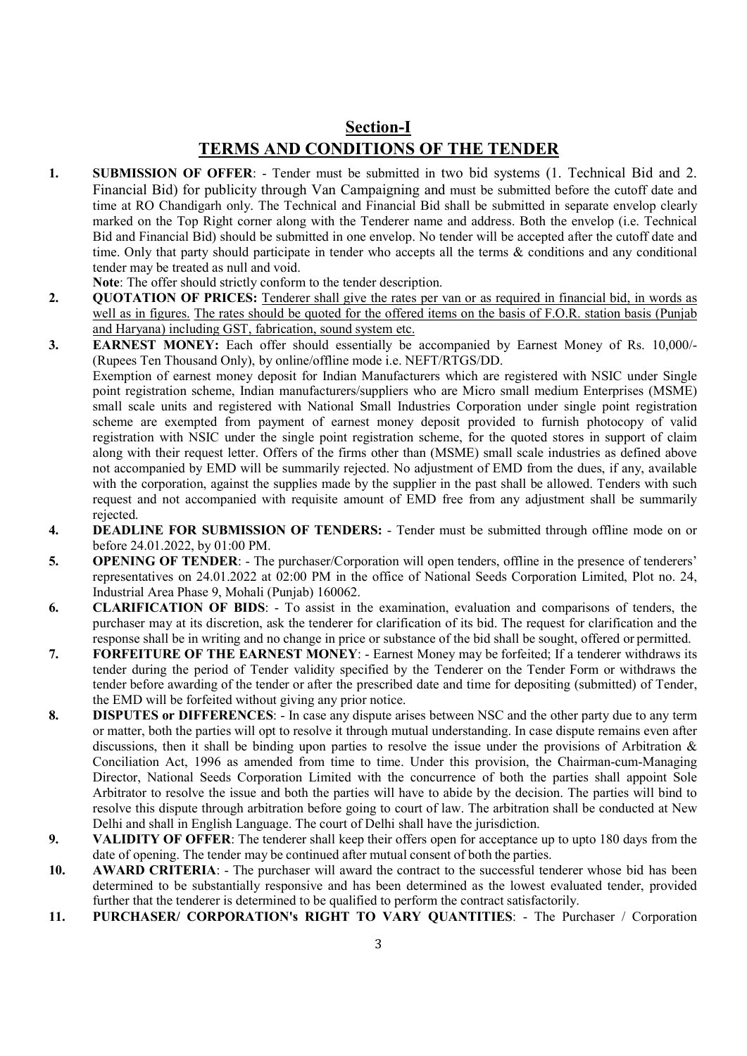## Section-I TERMS AND CONDITIONS OF THE TENDER

- 1. SUBMISSION OF OFFER: Tender must be submitted in two bid systems (1. Technical Bid and 2. Financial Bid) for publicity through Van Campaigning and must be submitted before the cutoff date and time at RO Chandigarh only. The Technical and Financial Bid shall be submitted in separate envelop clearly marked on the Top Right corner along with the Tenderer name and address. Both the envelop (i.e. Technical Bid and Financial Bid) should be submitted in one envelop. No tender will be accepted after the cutoff date and time. Only that party should participate in tender who accepts all the terms & conditions and any conditional tender may be treated as null and void.
- Note: The offer should strictly conform to the tender description.
- 2. QUOTATION OF PRICES: Tenderer shall give the rates per van or as required in financial bid, in words as well as in figures. The rates should be quoted for the offered items on the basis of F.O.R. station basis (Punjab and Haryana) including GST, fabrication, sound system etc.
- 3. EARNEST MONEY: Each offer should essentially be accompanied by Earnest Money of Rs. 10,000/- (Rupees Ten Thousand Only), by online/offline mode i.e. NEFT/RTGS/DD. Exemption of earnest money deposit for Indian Manufacturers which are registered with NSIC under Single point registration scheme, Indian manufacturers/suppliers who are Micro small medium Enterprises (MSME) small scale units and registered with National Small Industries Corporation under single point registration scheme are exempted from payment of earnest money deposit provided to furnish photocopy of valid registration with NSIC under the single point registration scheme, for the quoted stores in support of claim along with their request letter. Offers of the firms other than (MSME) small scale industries as defined above not accompanied by EMD will be summarily rejected. No adjustment of EMD from the dues, if any, available with the corporation, against the supplies made by the supplier in the past shall be allowed. Tenders with such request and not accompanied with requisite amount of EMD free from any adjustment shall be summarily rejected.
- 4. DEADLINE FOR SUBMISSION OF TENDERS: Tender must be submitted through offline mode on or before 24.01.2022, by 01:00 PM.
- 5. OPENING OF TENDER: The purchaser/Corporation will open tenders, offline in the presence of tenderers' representatives on 24.01.2022 at 02:00 PM in the office of National Seeds Corporation Limited, Plot no. 24, Industrial Area Phase 9, Mohali (Punjab) 160062.
- 6. CLARIFICATION OF BIDS: To assist in the examination, evaluation and comparisons of tenders, the purchaser may at its discretion, ask the tenderer for clarification of its bid. The request for clarification and the response shall be in writing and no change in price or substance of the bid shall be sought, offered or permitted.
- 7. FORFEITURE OF THE EARNEST MONEY: Earnest Money may be forfeited; If a tenderer withdraws its tender during the period of Tender validity specified by the Tenderer on the Tender Form or withdraws the tender before awarding of the tender or after the prescribed date and time for depositing (submitted) of Tender, the EMD will be forfeited without giving any prior notice.
- 8. DISPUTES or DIFFERENCES: In case any dispute arises between NSC and the other party due to any term or matter, both the parties will opt to resolve it through mutual understanding. In case dispute remains even after discussions, then it shall be binding upon parties to resolve the issue under the provisions of Arbitration & Conciliation Act, 1996 as amended from time to time. Under this provision, the Chairman-cum-Managing Director, National Seeds Corporation Limited with the concurrence of both the parties shall appoint Sole Arbitrator to resolve the issue and both the parties will have to abide by the decision. The parties will bind to resolve this dispute through arbitration before going to court of law. The arbitration shall be conducted at New Delhi and shall in English Language. The court of Delhi shall have the jurisdiction.
- 9. VALIDITY OF OFFER: The tenderer shall keep their offers open for acceptance up to upto 180 days from the date of opening. The tender may be continued after mutual consent of both the parties.
- 10. AWARD CRITERIA: The purchaser will award the contract to the successful tenderer whose bid has been determined to be substantially responsive and has been determined as the lowest evaluated tender, provided further that the tenderer is determined to be qualified to perform the contract satisfactorily.
- 11. PURCHASER/ CORPORATION's RIGHT TO VARY QUANTITIES: The Purchaser / Corporation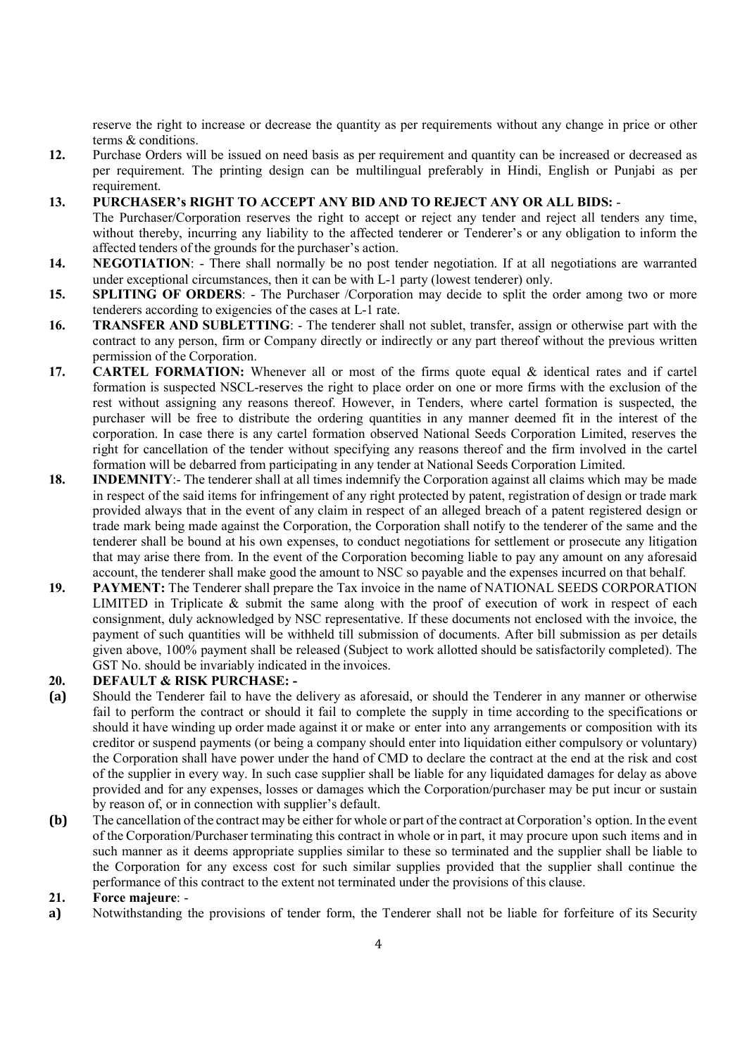reserve the right to increase or decrease the quantity as per requirements without any change in price or other terms & conditions.

- 12. Purchase Orders will be issued on need basis as per requirement and quantity can be increased or decreased as per requirement. The printing design can be multilingual preferably in Hindi, English or Punjabi as per requirement.
- 13. PURCHASER's RIGHT TO ACCEPT ANY BID AND TO REJECT ANY OR ALL BIDS: The Purchaser/Corporation reserves the right to accept or reject any tender and reject all tenders any time, without thereby, incurring any liability to the affected tenderer or Tenderer's or any obligation to inform the affected tenders of the grounds for the purchaser's action.
- 14. NEGOTIATION: There shall normally be no post tender negotiation. If at all negotiations are warranted under exceptional circumstances, then it can be with L-1 party (lowest tenderer) only.
- 15. SPLITING OF ORDERS: The Purchaser / Corporation may decide to split the order among two or more tenderers according to exigencies of the cases at L-1 rate.
- 16. TRANSFER AND SUBLETTING: The tenderer shall not sublet, transfer, assign or otherwise part with the contract to any person, firm or Company directly or indirectly or any part thereof without the previous written permission of the Corporation.
- 17. CARTEL FORMATION: Whenever all or most of the firms quote equal & identical rates and if cartel formation is suspected NSCL-reserves the right to place order on one or more firms with the exclusion of the rest without assigning any reasons thereof. However, in Tenders, where cartel formation is suspected, the purchaser will be free to distribute the ordering quantities in any manner deemed fit in the interest of the corporation. In case there is any cartel formation observed National Seeds Corporation Limited, reserves the right for cancellation of the tender without specifying any reasons thereof and the firm involved in the cartel formation will be debarred from participating in any tender at National Seeds Corporation Limited.
- 18. INDEMNITY:- The tenderer shall at all times indemnify the Corporation against all claims which may be made in respect of the said items for infringement of any right protected by patent, registration of design or trade mark provided always that in the event of any claim in respect of an alleged breach of a patent registered design or trade mark being made against the Corporation, the Corporation shall notify to the tenderer of the same and the tenderer shall be bound at his own expenses, to conduct negotiations for settlement or prosecute any litigation that may arise there from. In the event of the Corporation becoming liable to pay any amount on any aforesaid account, the tenderer shall make good the amount to NSC so payable and the expenses incurred on that behalf.
- 19. PAYMENT: The Tenderer shall prepare the Tax invoice in the name of NATIONAL SEEDS CORPORATION LIMITED in Triplicate & submit the same along with the proof of execution of work in respect of each consignment, duly acknowledged by NSC representative. If these documents not enclosed with the invoice, the payment of such quantities will be withheld till submission of documents. After bill submission as per details given above, 100% payment shall be released (Subject to work allotted should be satisfactorily completed). The GST No. should be invariably indicated in the invoices.

### 20. DEFAULT & RISK PURCHASE: -

- (a) Should the Tenderer fail to have the delivery as aforesaid, or should the Tenderer in any manner or otherwise fail to perform the contract or should it fail to complete the supply in time according to the specifications or should it have winding up order made against it or make or enter into any arrangements or composition with its creditor or suspend payments (or being a company should enter into liquidation either compulsory or voluntary) the Corporation shall have power under the hand of CMD to declare the contract at the end at the risk and cost of the supplier in every way. In such case supplier shall be liable for any liquidated damages for delay as above provided and for any expenses, losses or damages which the Corporation/purchaser may be put incur or sustain by reason of, or in connection with supplier's default.
- (b) The cancellation of the contract may be either for whole or part of the contract at Corporation's option. In the event of the Corporation/Purchaser terminating this contract in whole or in part, it may procure upon such items and in such manner as it deems appropriate supplies similar to these so terminated and the supplier shall be liable to the Corporation for any excess cost for such similar supplies provided that the supplier shall continue the performance of this contract to the extent not terminated under the provisions of this clause.

### 21. Force majeure: -

a) Notwithstanding the provisions of tender form, the Tenderer shall not be liable for forfeiture of its Security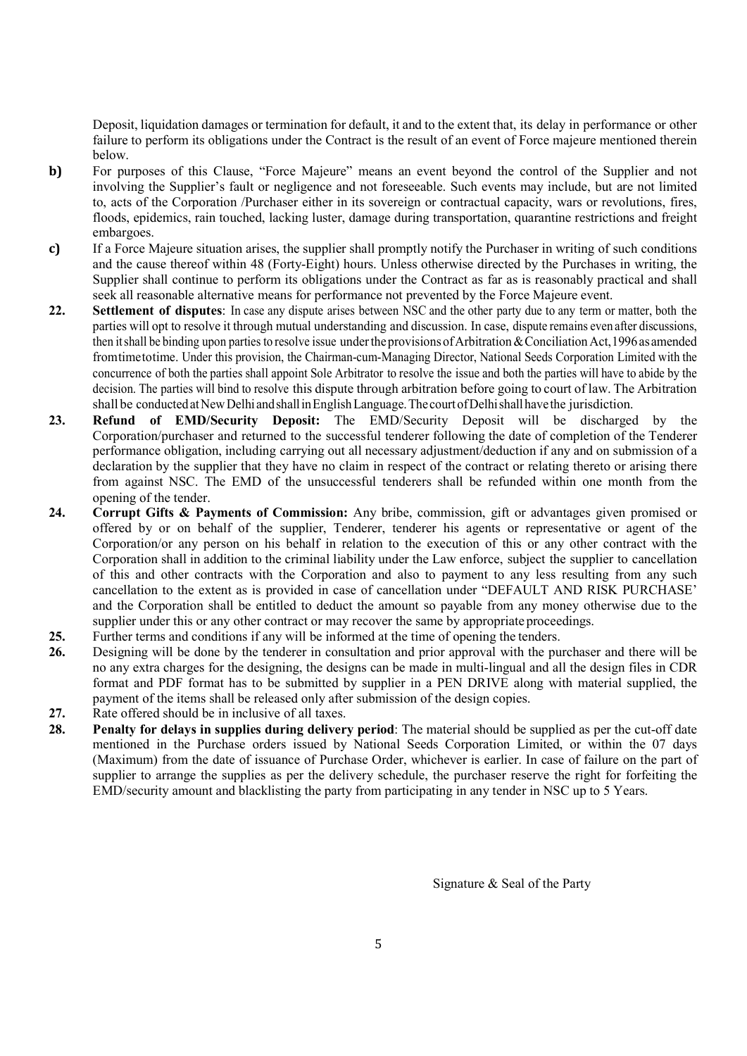Deposit, liquidation damages or termination for default, it and to the extent that, its delay in performance or other failure to perform its obligations under the Contract is the result of an event of Force majeure mentioned therein below.

- b) For purposes of this Clause, "Force Majeure" means an event beyond the control of the Supplier and not involving the Supplier's fault or negligence and not foreseeable. Such events may include, but are not limited to, acts of the Corporation /Purchaser either in its sovereign or contractual capacity, wars or revolutions, fires, floods, epidemics, rain touched, lacking luster, damage during transportation, quarantine restrictions and freight embargoes.
- c) If a Force Majeure situation arises, the supplier shall promptly notify the Purchaser in writing of such conditions and the cause thereof within 48 (Forty-Eight) hours. Unless otherwise directed by the Purchases in writing, the Supplier shall continue to perform its obligations under the Contract as far as is reasonably practical and shall seek all reasonable alternative means for performance not prevented by the Force Majeure event.
- 22. Settlement of disputes: In case any dispute arises between NSC and the other party due to any term or matter, both the parties will opt to resolve it through mutual understanding and discussion. In case, dispute remains even after discussions, then it shall be binding upon parties to resolve issue under the provisions of Arbitration & Conciliation Act, 1996 as amended from time to time. Under this provision, the Chairman-cum-Managing Director, National Seeds Corporation Limited with the concurrence of both the parties shall appoint Sole Arbitrator to resolve the issue and both the parties will have to abide by the decision. The parties will bind to resolve this dispute through arbitration before going to court of law. The Arbitration shall be conducted at New Delhi and shall in English Language. The court of Delhi shall have the jurisdiction.
- 23. Refund of EMD/Security Deposit: The EMD/Security Deposit will be discharged by the Corporation/purchaser and returned to the successful tenderer following the date of completion of the Tenderer performance obligation, including carrying out all necessary adjustment/deduction if any and on submission of a declaration by the supplier that they have no claim in respect of the contract or relating thereto or arising there from against NSC. The EMD of the unsuccessful tenderers shall be refunded within one month from the opening of the tender.
- 24. Corrupt Gifts & Payments of Commission: Any bribe, commission, gift or advantages given promised or offered by or on behalf of the supplier, Tenderer, tenderer his agents or representative or agent of the Corporation/or any person on his behalf in relation to the execution of this or any other contract with the Corporation shall in addition to the criminal liability under the Law enforce, subject the supplier to cancellation of this and other contracts with the Corporation and also to payment to any less resulting from any such cancellation to the extent as is provided in case of cancellation under "DEFAULT AND RISK PURCHASE' and the Corporation shall be entitled to deduct the amount so payable from any money otherwise due to the supplier under this or any other contract or may recover the same by appropriate proceedings.
- 25. Further terms and conditions if any will be informed at the time of opening the tenders.
- 26. Designing will be done by the tenderer in consultation and prior approval with the purchaser and there will be no any extra charges for the designing, the designs can be made in multi-lingual and all the design files in CDR format and PDF format has to be submitted by supplier in a PEN DRIVE along with material supplied, the payment of the items shall be released only after submission of the design copies.
- 27. Rate offered should be in inclusive of all taxes.
- 28. Penalty for delays in supplies during delivery period: The material should be supplied as per the cut-off date mentioned in the Purchase orders issued by National Seeds Corporation Limited, or within the 07 days (Maximum) from the date of issuance of Purchase Order, whichever is earlier. In case of failure on the part of supplier to arrange the supplies as per the delivery schedule, the purchaser reserve the right for forfeiting the EMD/security amount and blacklisting the party from participating in any tender in NSC up to 5 Years.

Signature & Seal of the Party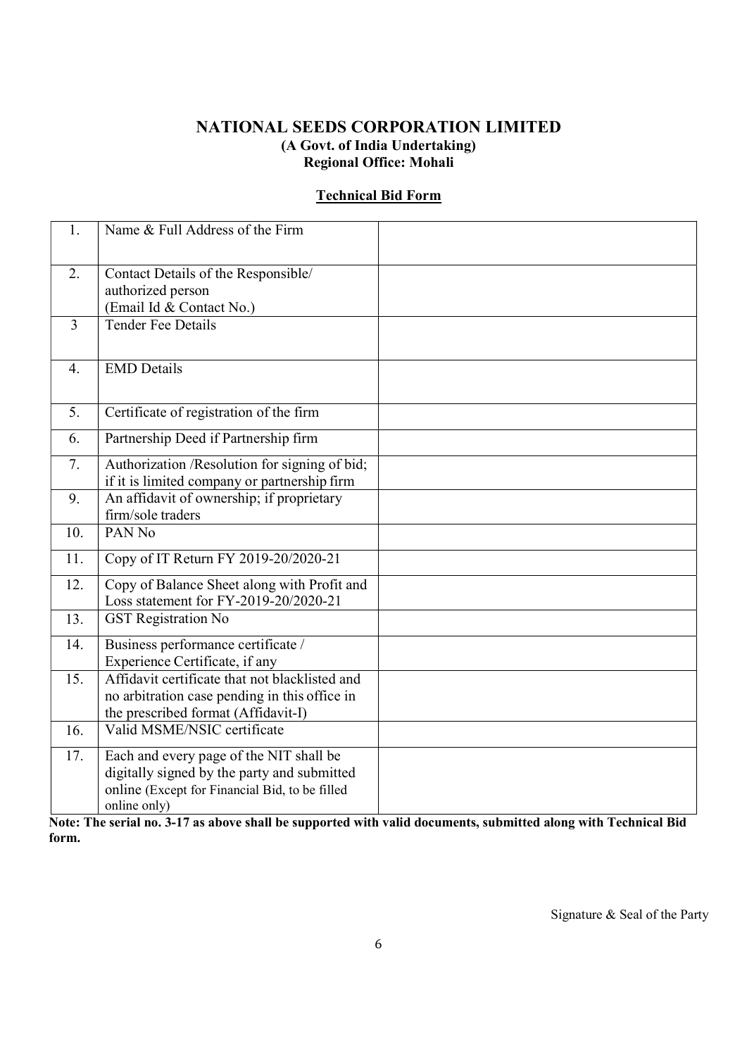## NATIONAL SEEDS CORPORATION LIMITED (A Govt. of India Undertaking) Regional Office: Mohali

## Technical Bid Form

| 1.  | Name & Full Address of the Firm                                                                                                                          |  |
|-----|----------------------------------------------------------------------------------------------------------------------------------------------------------|--|
| 2.  | Contact Details of the Responsible/<br>authorized person<br>(Email Id & Contact No.)                                                                     |  |
| 3   | <b>Tender Fee Details</b>                                                                                                                                |  |
| 4.  | <b>EMD</b> Details                                                                                                                                       |  |
| 5.  | Certificate of registration of the firm                                                                                                                  |  |
| 6.  | Partnership Deed if Partnership firm                                                                                                                     |  |
| 7.  | Authorization /Resolution for signing of bid;<br>if it is limited company or partnership firm                                                            |  |
| 9.  | An affidavit of ownership; if proprietary<br>firm/sole traders                                                                                           |  |
| 10. | PAN <sub>No</sub>                                                                                                                                        |  |
| 11. | Copy of IT Return FY 2019-20/2020-21                                                                                                                     |  |
| 12. | Copy of Balance Sheet along with Profit and<br>Loss statement for FY-2019-20/2020-21                                                                     |  |
| 13. | <b>GST</b> Registration No                                                                                                                               |  |
| 14. | Business performance certificate /<br>Experience Certificate, if any                                                                                     |  |
| 15. | Affidavit certificate that not blacklisted and<br>no arbitration case pending in this office in<br>the prescribed format (Affidavit-I)                   |  |
| 16. | Valid MSME/NSIC certificate                                                                                                                              |  |
| 17. | Each and every page of the NIT shall be<br>digitally signed by the party and submitted<br>online (Except for Financial Bid, to be filled<br>online only) |  |

Note: The serial no. 3-17 as above shall be supported with valid documents, submitted along with Technical Bid form.

Signature & Seal of the Party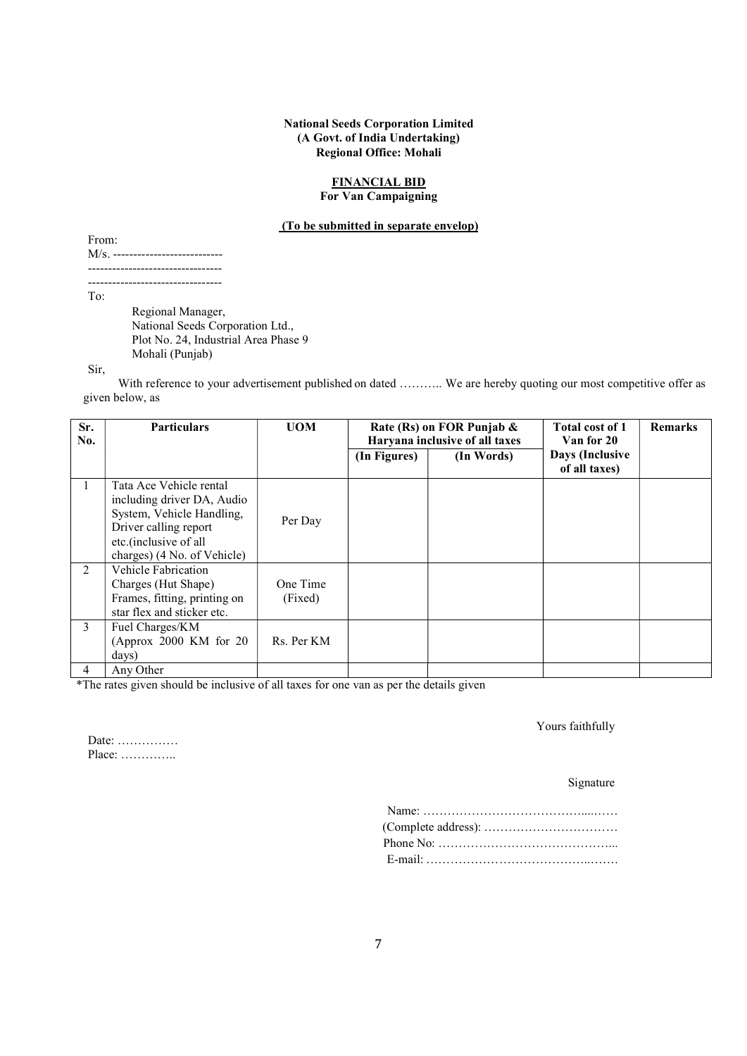#### National Seeds Corporation Limited (A Govt. of India Undertaking) Regional Office: Mohali

#### FINANCIAL BID

For Van Campaigning

#### (To be submitted in separate envelop)

From: M/s. --------------------------- --------------------------------- --------------------------------- To: Regional Manager, National Seeds Corporation Ltd., Plot No. 24, Industrial Area Phase 9 Mohali (Punjab)

Sir,

With reference to your advertisement published on dated ........... We are hereby quoting our most competitive offer as given below, as

| Sr.<br>No. | <b>Particulars</b>                                                                                                                                                  | <b>UOM</b>          | Rate (Rs) on FOR Punjab $\&$<br>Haryana inclusive of all taxes |            | <b>Total cost of 1</b><br>Van for 20 | <b>Remarks</b> |
|------------|---------------------------------------------------------------------------------------------------------------------------------------------------------------------|---------------------|----------------------------------------------------------------|------------|--------------------------------------|----------------|
|            |                                                                                                                                                                     |                     | (In Figures)                                                   | (In Words) | Days (Inclusive<br>of all taxes)     |                |
|            | Tata Ace Vehicle rental<br>including driver DA, Audio<br>System, Vehicle Handling,<br>Driver calling report<br>etc.(inclusive of all<br>charges) (4 No. of Vehicle) | Per Day             |                                                                |            |                                      |                |
| 2          | Vehicle Fabrication<br>Charges (Hut Shape)<br>Frames, fitting, printing on<br>star flex and sticker etc.                                                            | One Time<br>(Fixed) |                                                                |            |                                      |                |
| 3          | Fuel Charges/KM<br>(Approx $2000$ KM for $20$<br>days)                                                                                                              | Rs. Per KM          |                                                                |            |                                      |                |
| 4          | Any Other                                                                                                                                                           |                     |                                                                |            |                                      |                |

\*The rates given should be inclusive of all taxes for one van as per the details given

#### Yours faithfully

Date: …………… Place: …………..

#### Signature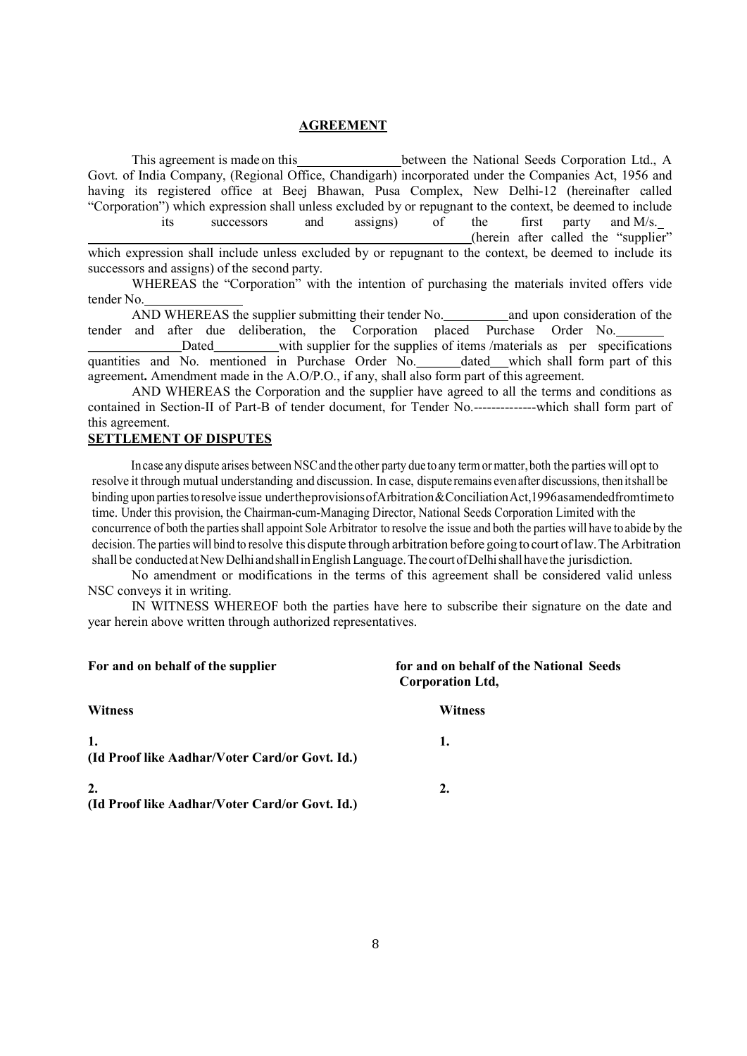#### AGREEMENT

This agreement is made on this between the National Seeds Corporation Ltd., A Govt. of India Company, (Regional Office, Chandigarh) incorporated under the Companies Act, 1956 and having its registered office at Beej Bhawan, Pusa Complex, New Delhi-12 (hereinafter called "Corporation") which expression shall unless excluded by or repugnant to the context, be deemed to include its successors and assigns) of the first party and M/s. (herein after called the "supplier" which expression shall include unless excluded by or repugnant to the context, be deemed to include its successors and assigns) of the second party.

WHEREAS the "Corporation" with the intention of purchasing the materials invited offers vide tender No.

AND WHEREAS the supplier submitting their tender No. and upon consideration of the tender and after due deliberation, the Corporation placed Purchase Order No.

 Dated with supplier for the supplies of items /materials as per specifications quantities and No. mentioned in Purchase Order No. \_\_\_\_\_\_ dated \_\_\_ which shall form part of this agreement. Amendment made in the A.O/P.O., if any, shall also form part of this agreement.

AND WHEREAS the Corporation and the supplier have agreed to all the terms and conditions as contained in Section-II of Part-B of tender document, for Tender No.--------------which shall form part of this agreement.

### SETTLEMENT OF DISPUTES

In case any dispute arises between NSC and the other party due to any term or matter, both the parties will opt to resolve it through mutual understanding and discussion. In case, dispute remains even after discussions, then it shall be binding upon parties to resolve issue under the provisions of Arbitration & Conciliation Act, 1996 as amended from time to time. Under this provision, the Chairman-cum-Managing Director, National Seeds Corporation Limited with the concurrence of both the parties shall appoint Sole Arbitrator to resolve the issue and both the parties will have to abide by the decision. The parties will bind to resolve this dispute through arbitration before going to court of law. The Arbitration shall be conducted at New Delhi and shall in English Language. The court of Delhi shall have the jurisdiction.

No amendment or modifications in the terms of this agreement shall be considered valid unless NSC conveys it in writing.

IN WITNESS WHEREOF both the parties have here to subscribe their signature on the date and year herein above written through authorized representatives.

| For and on behalf of the supplier                    | for and on behalf of the National Seeds<br><b>Corporation Ltd,</b> |
|------------------------------------------------------|--------------------------------------------------------------------|
| <b>Witness</b>                                       | <b>Witness</b>                                                     |
| 1.<br>(Id Proof like Aadhar/Voter Card/or Govt. Id.) | 1.                                                                 |
| 2.<br>(Id Proof like Aadhar/Voter Card/or Govt. Id.) | 2.                                                                 |